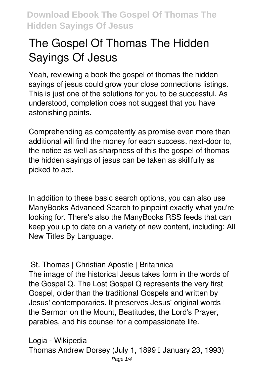# **The Gospel Of Thomas The Hidden Sayings Of Jesus**

Yeah, reviewing a book **the gospel of thomas the hidden sayings of jesus** could grow your close connections listings. This is just one of the solutions for you to be successful. As understood, completion does not suggest that you have astonishing points.

Comprehending as competently as promise even more than additional will find the money for each success. next-door to, the notice as well as sharpness of this the gospel of thomas the hidden sayings of jesus can be taken as skillfully as picked to act.

In addition to these basic search options, you can also use ManyBooks Advanced Search to pinpoint exactly what you're looking for. There's also the ManyBooks RSS feeds that can keep you up to date on a variety of new content, including: All New Titles By Language.

**St. Thomas | Christian Apostle | Britannica** The image of the historical Jesus takes form in the words of the Gospel Q. The Lost Gospel Q represents the very first Gospel, older than the traditional Gospels and written by Jesus' contemporaries. It preserves Jesus' original words I the Sermon on the Mount, Beatitudes, the Lord's Prayer, parables, and his counsel for a compassionate life.

**Logia - Wikipedia** Thomas Andrew Dorsey (July 1, 1899 II January 23, 1993) Page  $1/4$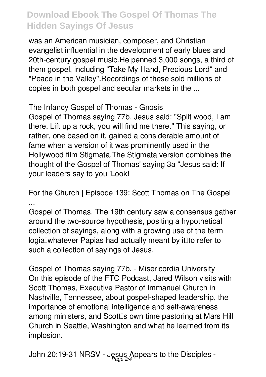was an American musician, composer, and Christian evangelist influential in the development of early blues and 20th-century gospel music.He penned 3,000 songs, a third of them gospel, including "Take My Hand, Precious Lord" and "Peace in the Valley".Recordings of these sold millions of copies in both gospel and secular markets in the ...

**The Infancy Gospel of Thomas - Gnosis**

Gospel of Thomas saying 77b. Jesus said: "Split wood, I am there. Lift up a rock, you will find me there." This saying, or rather, one based on it, gained a considerable amount of fame when a version of it was prominently used in the Hollywood film Stigmata.The Stigmata version combines the thought of the Gospel of Thomas' saying 3a "Jesus said: If your leaders say to you 'Look!

**For the Church | Episode 139: Scott Thomas on The Gospel ...**

Gospel of Thomas. The 19th century saw a consensus gather around the two-source hypothesis, positing a hypothetical collection of sayings, along with a growing use of the term logial whatever Papias had actually meant by it lit or efer to such a collection of sayings of Jesus.

**Gospel of Thomas saying 77b. - Misericordia University** On this episode of the FTC Podcast, Jared Wilson visits with Scott Thomas, Executive Pastor of Immanuel Church in Nashville, Tennessee, about gospel-shaped leadership, the importance of emotional intelligence and self-awareness among ministers, and Scottlls own time pastoring at Mars Hill Church in Seattle, Washington and what he learned from its implosion.

**John 20:19-31 NRSV - Jesus Appears to the Disciples -** Page 2/4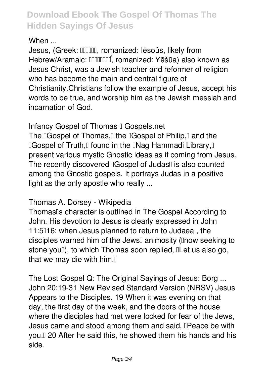## **When ...**

Jesus, (Greek: **ΠΠΠΠ**, romanized: lēsoûs, likely from Hebrew/Aramaic: **[[[[**[[[[[[[[[[[]]]]], romanized: Yēšūa) also known as Jesus Christ, was a Jewish teacher and reformer of religion who has become the main and central figure of Christianity.Christians follow the example of Jesus, accept his words to be true, and worship him as the Jewish messiah and incarnation of God.

**Infancy Gospel of Thomas I Gospels.net** 

The **Cospel of Thomas, I the Cospel of Philip, I and the "Gospel of Truth, Found in the "Nag Hammadi Library, I"** present various mystic Gnostic ideas as if coming from Jesus. The recently discovered **Gospel** of Judas<sup>[]</sup> is also counted among the Gnostic gospels. It portrays Judas in a positive light as the only apostle who really ...

### **Thomas A. Dorsey - Wikipedia**

Thomas<sup>®</sup>s character is outlined in The Gospel According to John. His devotion to Jesus is clearly expressed in John 11:5016: when Jesus planned to return to Judaea, the disciples warned him of the Jewsl animosity (lnow seeking to stone you!), to which Thomas soon replied, ILet us also go, that we may die with him. $<sub>0</sub>$ </sub>

**The Lost Gospel Q: The Original Sayings of Jesus: Borg ...** John 20:19-31 New Revised Standard Version (NRSV) Jesus Appears to the Disciples. 19 When it was evening on that day, the first day of the week, and the doors of the house where the disciples had met were locked for fear of the Jews, Jesus came and stood among them and said, **IPeace be with** you.<sup> $\square$ </sup> 20 After he said this, he showed them his hands and his side.